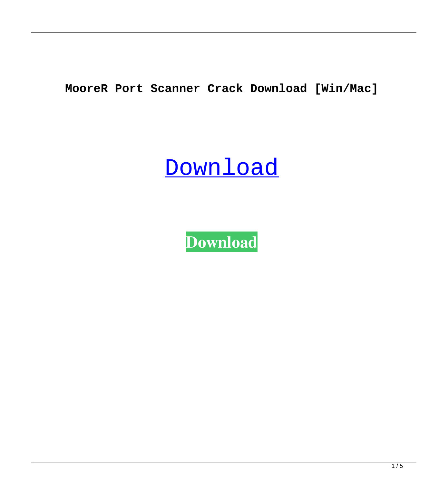**MooreR Port Scanner Crack Download [Win/Mac]**

# [Download](http://evacdir.com/barricade/cort/increasing/limping.indisputable/ZG93bmxvYWR8YmQ3TTJ3ME9YeDhNVFkxTkRVeU1qRXhNSHg4TWpVNU1IeDhLRTBwSUZkdmNtUndjbVZ6Y3lCYldFMU1VbEJESUZZeUlGQkVSbDA.neckwear.shamu.TW9vcmVSIFBvcnQgU2Nhbm5lcgTW9)

**[Download](http://evacdir.com/barricade/cort/increasing/limping.indisputable/ZG93bmxvYWR8YmQ3TTJ3ME9YeDhNVFkxTkRVeU1qRXhNSHg4TWpVNU1IeDhLRTBwSUZkdmNtUndjbVZ6Y3lCYldFMU1VbEJESUZZeUlGQkVSbDA.neckwear.shamu.TW9vcmVSIFBvcnQgU2Nhbm5lcgTW9)**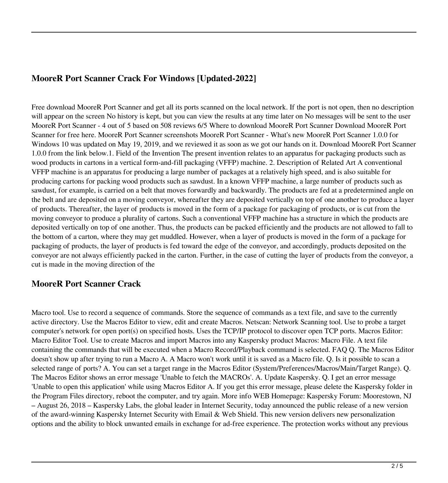## **MooreR Port Scanner Crack For Windows [Updated-2022]**

Free download MooreR Port Scanner and get all its ports scanned on the local network. If the port is not open, then no description will appear on the screen No history is kept, but you can view the results at any time later on No messages will be sent to the user MooreR Port Scanner - 4 out of 5 based on 508 reviews 6/5 Where to download MooreR Port Scanner Download MooreR Port Scanner for free here. MooreR Port Scanner screenshots MooreR Port Scanner - What's new MooreR Port Scanner 1.0.0 for Windows 10 was updated on May 19, 2019, and we reviewed it as soon as we got our hands on it. Download MooreR Port Scanner 1.0.0 from the link below.1. Field of the Invention The present invention relates to an apparatus for packaging products such as wood products in cartons in a vertical form-and-fill packaging (VFFP) machine. 2. Description of Related Art A conventional VFFP machine is an apparatus for producing a large number of packages at a relatively high speed, and is also suitable for producing cartons for packing wood products such as sawdust. In a known VFFP machine, a large number of products such as sawdust, for example, is carried on a belt that moves forwardly and backwardly. The products are fed at a predetermined angle on the belt and are deposited on a moving conveyor, whereafter they are deposited vertically on top of one another to produce a layer of products. Thereafter, the layer of products is moved in the form of a package for packaging of products, or is cut from the moving conveyor to produce a plurality of cartons. Such a conventional VFFP machine has a structure in which the products are deposited vertically on top of one another. Thus, the products can be packed efficiently and the products are not allowed to fall to the bottom of a carton, where they may get muddled. However, when a layer of products is moved in the form of a package for packaging of products, the layer of products is fed toward the edge of the conveyor, and accordingly, products deposited on the conveyor are not always efficiently packed in the carton. Further, in the case of cutting the layer of products from the conveyor, a cut is made in the moving direction of the

#### **MooreR Port Scanner Crack**

Macro tool. Use to record a sequence of commands. Store the sequence of commands as a text file, and save to the currently active directory. Use the Macros Editor to view, edit and create Macros. Netscan: Network Scanning tool. Use to probe a target computer's network for open port(s) on specified hosts. Uses the TCP/IP protocol to discover open TCP ports. Macros Editor: Macro Editor Tool. Use to create Macros and import Macros into any Kaspersky product Macros: Macro File. A text file containing the commands that will be executed when a Macro Record/Playback command is selected. FAQ Q. The Macros Editor doesn't show up after trying to run a Macro A. A Macro won't work until it is saved as a Macro file. Q. Is it possible to scan a selected range of ports? A. You can set a target range in the Macros Editor (System/Preferences/Macros/Main/Target Range). Q. The Macros Editor shows an error message 'Unable to fetch the MACROs'. A. Update Kaspersky. Q. I get an error message 'Unable to open this application' while using Macros Editor A. If you get this error message, please delete the Kaspersky folder in the Program Files directory, reboot the computer, and try again. More info WEB Homepage: Kaspersky Forum: Moorestown, NJ – August 26, 2018 – Kaspersky Labs, the global leader in Internet Security, today announced the public release of a new version of the award-winning Kaspersky Internet Security with Email & Web Shield. This new version delivers new personalization options and the ability to block unwanted emails in exchange for ad-free experience. The protection works without any previous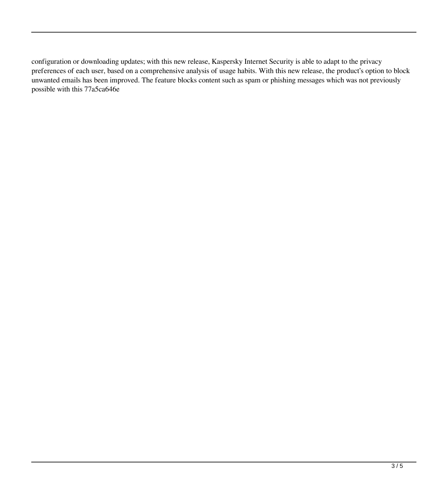configuration or downloading updates; with this new release, Kaspersky Internet Security is able to adapt to the privacy preferences of each user, based on a comprehensive analysis of usage habits. With this new release, the product's option to block unwanted emails has been improved. The feature blocks content such as spam or phishing messages which was not previously possible with this 77a5ca646e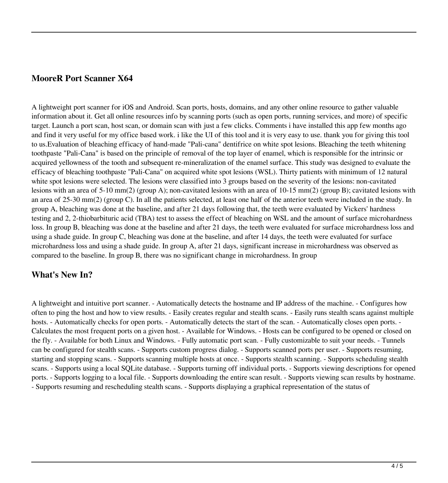### **MooreR Port Scanner X64**

A lightweight port scanner for iOS and Android. Scan ports, hosts, domains, and any other online resource to gather valuable information about it. Get all online resources info by scanning ports (such as open ports, running services, and more) of specific target. Launch a port scan, host scan, or domain scan with just a few clicks. Comments i have installed this app few months ago and find it very useful for my office based work. i like the UI of this tool and it is very easy to use. thank you for giving this tool to us.Evaluation of bleaching efficacy of hand-made "Pali-cana" dentifrice on white spot lesions. Bleaching the teeth whitening toothpaste "Pali-Cana" is based on the principle of removal of the top layer of enamel, which is responsible for the intrinsic or acquired yellowness of the tooth and subsequent re-mineralization of the enamel surface. This study was designed to evaluate the efficacy of bleaching toothpaste "Pali-Cana" on acquired white spot lesions (WSL). Thirty patients with minimum of 12 natural white spot lesions were selected. The lesions were classified into 3 groups based on the severity of the lesions: non-cavitated lesions with an area of 5-10 mm(2) (group A); non-cavitated lesions with an area of 10-15 mm(2) (group B); cavitated lesions with an area of 25-30 mm(2) (group C). In all the patients selected, at least one half of the anterior teeth were included in the study. In group A, bleaching was done at the baseline, and after 21 days following that, the teeth were evaluated by Vickers' hardness testing and 2, 2-thiobarbituric acid (TBA) test to assess the effect of bleaching on WSL and the amount of surface microhardness loss. In group B, bleaching was done at the baseline and after 21 days, the teeth were evaluated for surface microhardness loss and using a shade guide. In group C, bleaching was done at the baseline, and after 14 days, the teeth were evaluated for surface microhardness loss and using a shade guide. In group A, after 21 days, significant increase in microhardness was observed as compared to the baseline. In group B, there was no significant change in microhardness. In group

## **What's New In?**

A lightweight and intuitive port scanner. - Automatically detects the hostname and IP address of the machine. - Configures how often to ping the host and how to view results. - Easily creates regular and stealth scans. - Easily runs stealth scans against multiple hosts. - Automatically checks for open ports. - Automatically detects the start of the scan. - Automatically closes open ports. -Calculates the most frequent ports on a given host. - Available for Windows. - Hosts can be configured to be opened or closed on the fly. - Available for both Linux and Windows. - Fully automatic port scan. - Fully customizable to suit your needs. - Tunnels can be configured for stealth scans. - Supports custom progress dialog. - Supports scanned ports per user. - Supports resuming, starting and stopping scans. - Supports scanning multiple hosts at once. - Supports stealth scanning. - Supports scheduling stealth scans. - Supports using a local SQLite database. - Supports turning off individual ports. - Supports viewing descriptions for opened ports. - Supports logging to a local file. - Supports downloading the entire scan result. - Supports viewing scan results by hostname. - Supports resuming and rescheduling stealth scans. - Supports displaying a graphical representation of the status of